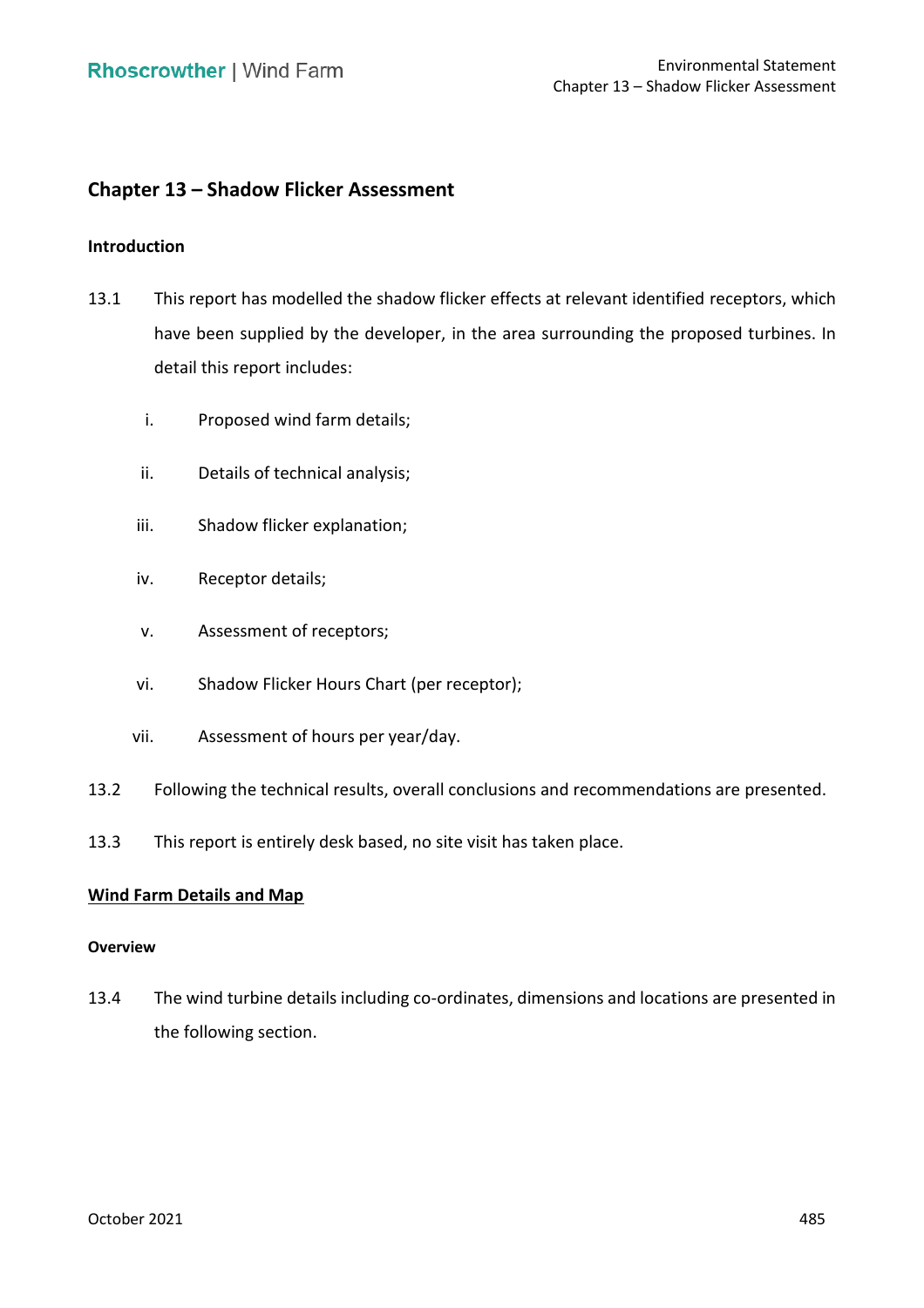# **Chapter 13 – Shadow Flicker Assessment**

# **Introduction**

- 13.1 This report has modelled the shadow flicker effects at relevant identified receptors, which have been supplied by the developer, in the area surrounding the proposed turbines. In detail this report includes:
	- i. Proposed wind farm details;
	- ii. Details of technical analysis;
	- iii. Shadow flicker explanation;
	- iv. Receptor details;
	- v. Assessment of receptors;
	- vi. Shadow Flicker Hours Chart (per receptor);
	- vii. Assessment of hours per year/day.
- 13.2 Following the technical results, overall conclusions and recommendations are presented.
- 13.3 This report is entirely desk based, no site visit has taken place.

# **Wind Farm Details and Map**

#### **Overview**

 13.4 The wind turbine details including co-ordinates, dimensions and locations are presented in the following section.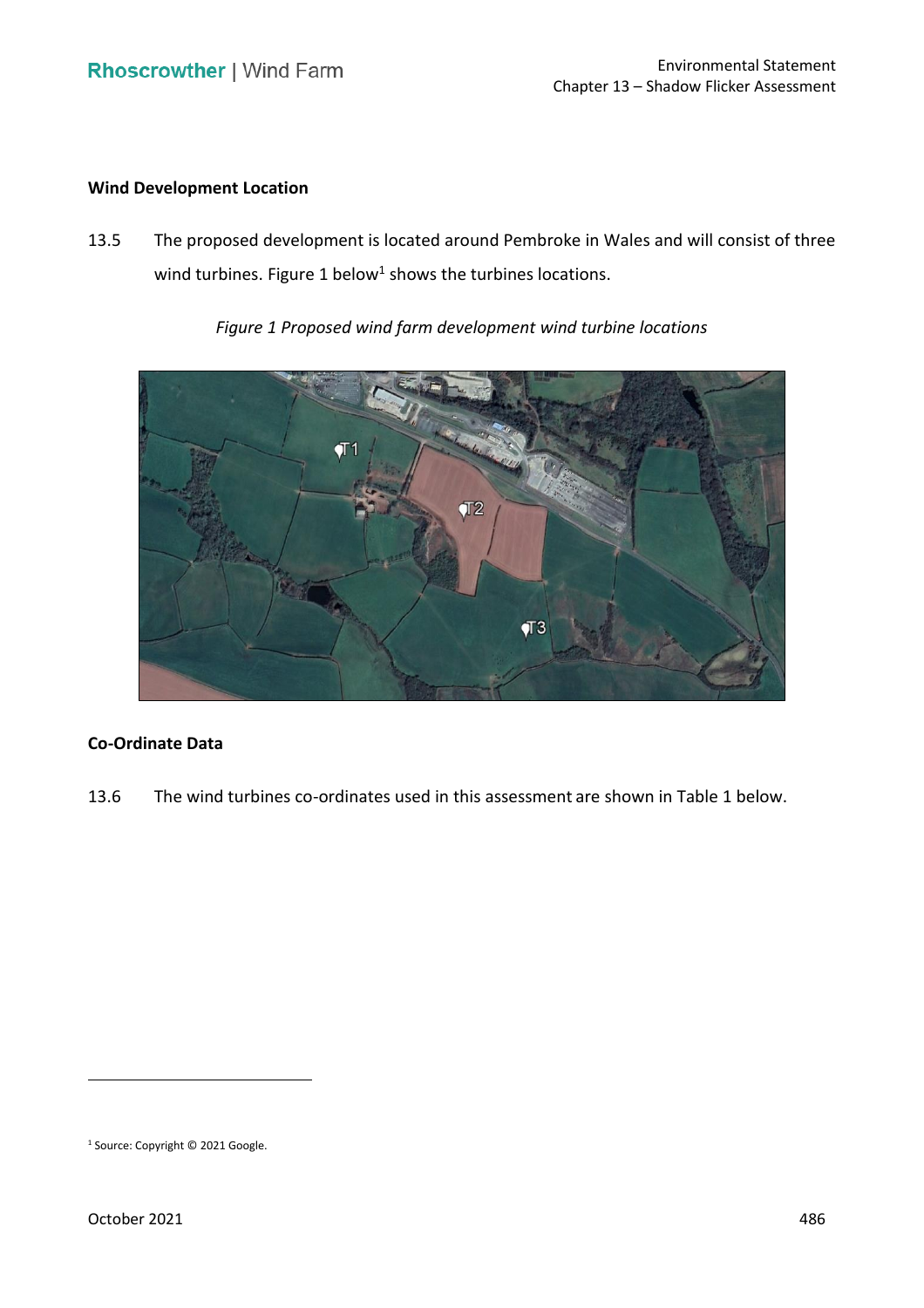# **Wind Development Location**

 13.5 The proposed development is located around Pembroke in Wales and will consist of three wind turbines. [Figure 1](#page-1-0) below<sup>1</sup> shows the turbines locations.

 *Figure 1 Proposed wind farm development wind turbine locations* 

<span id="page-1-0"></span>

# **Co-Ordinate Data**

13.6 The wind turbines co-ordinates used in this assessment are shown in Table 1 below.

<sup>1</sup> Source: Copyright © 2021 Google.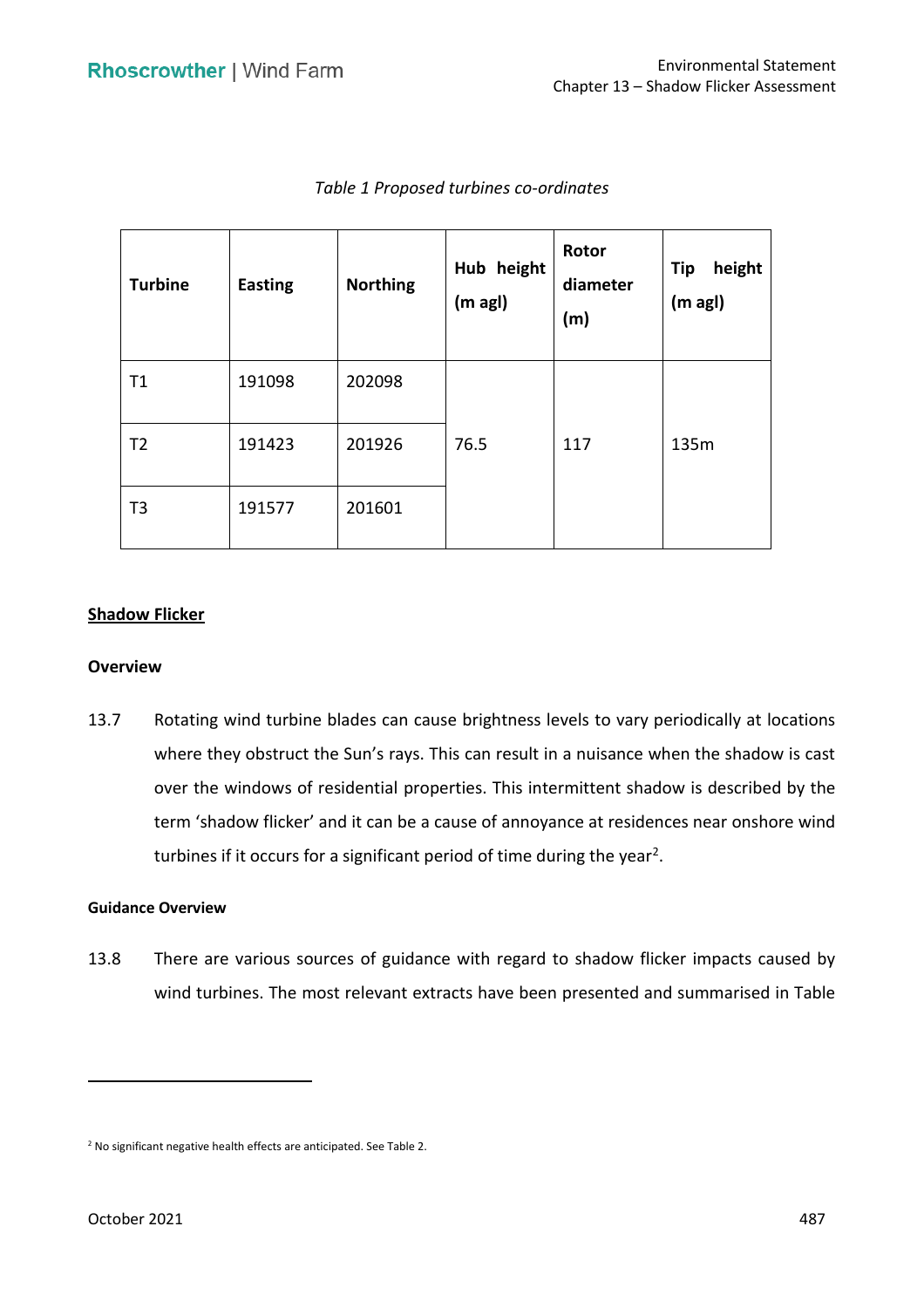| <b>Turbine</b> | <b>Easting</b> | <b>Northing</b> | Hub height<br>$(m \text{ agl})$ | Rotor<br>diameter<br>(m) | <b>Tip</b><br>height<br>(m agl) |
|----------------|----------------|-----------------|---------------------------------|--------------------------|---------------------------------|
| Τ1             | 191098         | 202098          |                                 |                          |                                 |
| T <sub>2</sub> | 191423         | 201926          | 76.5                            | 117                      | 135m                            |
| T <sub>3</sub> | 191577         | 201601          |                                 |                          |                                 |

# *Table 1 Proposed turbines co-ordinates*

# **Shadow Flicker**

### **Overview**

 13.7 Rotating wind turbine blades can cause brightness levels to vary periodically at locations where they obstruct the Sun's rays. This can result in a nuisance when the shadow is cast over the windows of residential properties. This intermittent shadow is described by the term 'shadow flicker' and it can be a cause of annoyance at residences near onshore wind turbines if it occurs for a significant period of time during the year<sup>2</sup>.

### **Guidance Overview**

 13.8 There are various sources of guidance with regard to shadow flicker impacts caused by wind turbines. The most relevant extracts have been presented and summarised in Table

<sup>2</sup> No significant negative health effects are anticipated. See Table 2.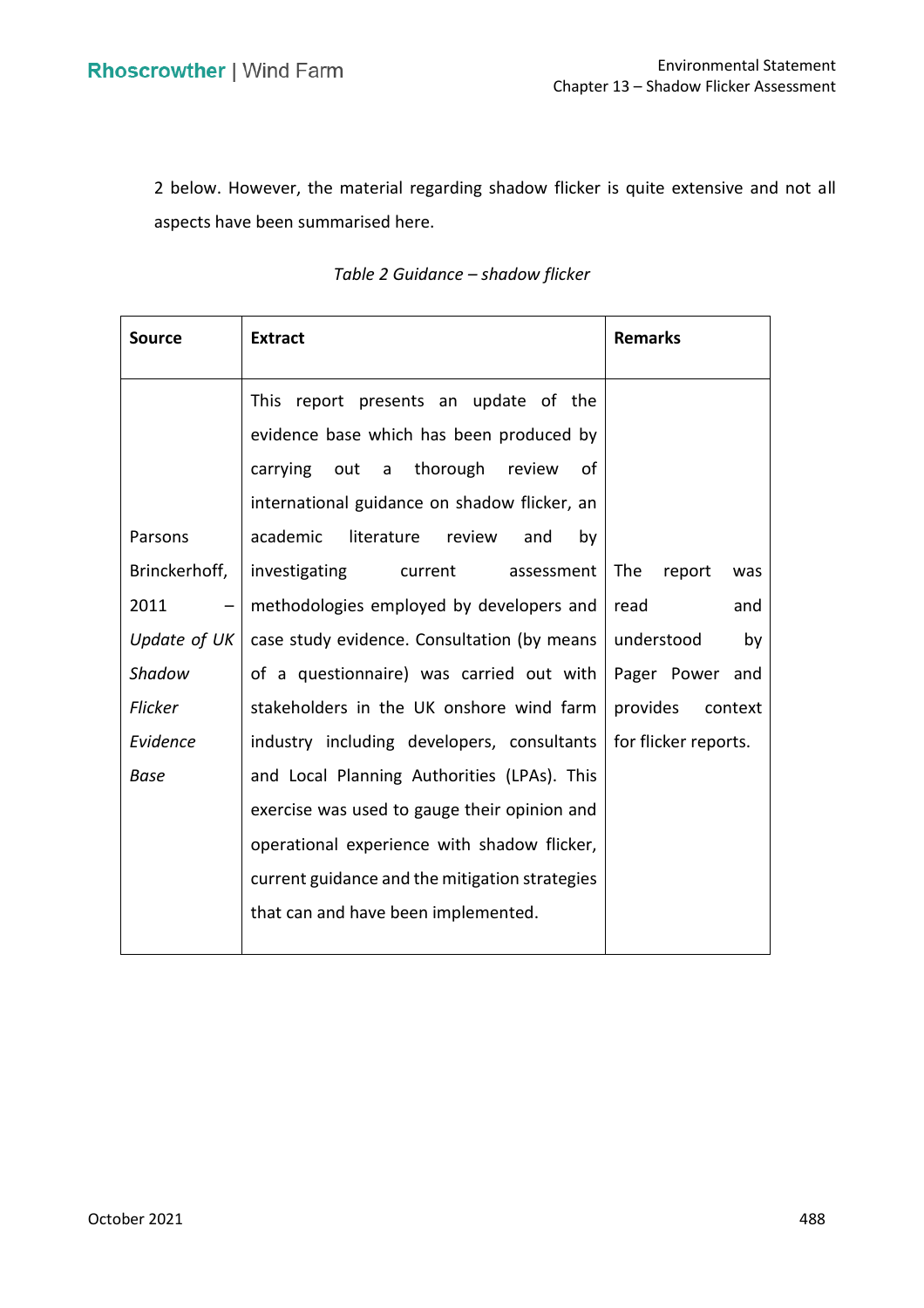2 below. However, the material regarding shadow flicker is quite extensive and not all aspects have been summarised here.

| <b>Source</b>  | <b>Extract</b>                                                                                                                   | <b>Remarks</b>       |
|----------------|----------------------------------------------------------------------------------------------------------------------------------|----------------------|
|                | This report presents an update of the                                                                                            |                      |
|                | evidence base which has been produced by<br>carrying out a thorough review<br>of<br>international guidance on shadow flicker, an |                      |
| Parsons        | academic<br>literature review<br>and<br>by                                                                                       |                      |
| Brinckerhoff,  | investigating<br>current assessment                                                                                              | The<br>report<br>was |
| 2011<br>- 1    | methodologies employed by developers and                                                                                         | read<br>and          |
| Update of UK   | case study evidence. Consultation (by means                                                                                      | understood<br>by     |
| Shadow         | of a questionnaire) was carried out with                                                                                         | Pager Power and      |
| <b>Flicker</b> | stakeholders in the UK onshore wind farm                                                                                         | provides<br>context  |
| Evidence       | industry including developers, consultants                                                                                       | for flicker reports. |
| <b>Base</b>    | and Local Planning Authorities (LPAs). This                                                                                      |                      |
|                | exercise was used to gauge their opinion and                                                                                     |                      |
|                | operational experience with shadow flicker,                                                                                      |                      |
|                | current guidance and the mitigation strategies                                                                                   |                      |
|                | that can and have been implemented.                                                                                              |                      |

# *Table 2 Guidance – shadow flicker*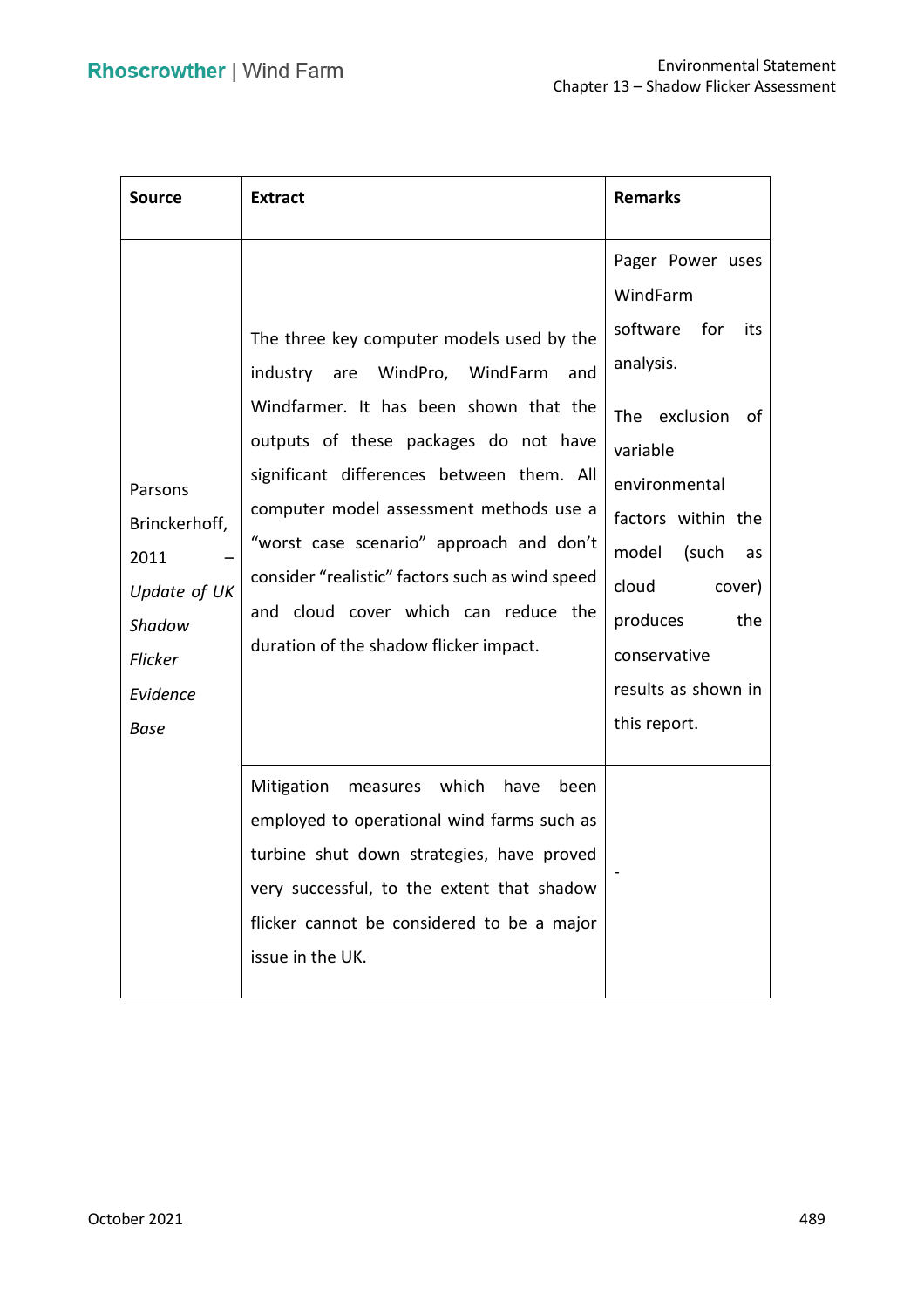| <b>Source</b>                                                                                    | <b>Extract</b>                                                                                                                                                                                                                                                                                                                                                                                                                                 | <b>Remarks</b>                                                                                                                                                                                                                                               |
|--------------------------------------------------------------------------------------------------|------------------------------------------------------------------------------------------------------------------------------------------------------------------------------------------------------------------------------------------------------------------------------------------------------------------------------------------------------------------------------------------------------------------------------------------------|--------------------------------------------------------------------------------------------------------------------------------------------------------------------------------------------------------------------------------------------------------------|
| Parsons<br>Brinckerhoff,<br>2011<br>Update of UK<br>Shadow<br>Flicker<br>Evidence<br><b>Base</b> | The three key computer models used by the<br>industry are WindPro, WindFarm<br>and<br>Windfarmer. It has been shown that the<br>outputs of these packages do not have<br>significant differences between them. All<br>computer model assessment methods use a<br>"worst case scenario" approach and don't<br>consider "realistic" factors such as wind speed<br>and cloud cover which can reduce the<br>duration of the shadow flicker impact. | Pager Power uses<br>WindFarm<br>software for<br>its<br>analysis.<br>The exclusion<br>of<br>variable<br>environmental<br>factors within the<br>model (such<br>as<br>cloud<br>cover)<br>produces<br>the<br>conservative<br>results as shown in<br>this report. |
|                                                                                                  | Mitigation<br>measures which<br>have<br>been<br>employed to operational wind farms such as<br>turbine shut down strategies, have proved<br>very successful, to the extent that shadow<br>flicker cannot be considered to be a major<br>issue in the UK.                                                                                                                                                                                        |                                                                                                                                                                                                                                                              |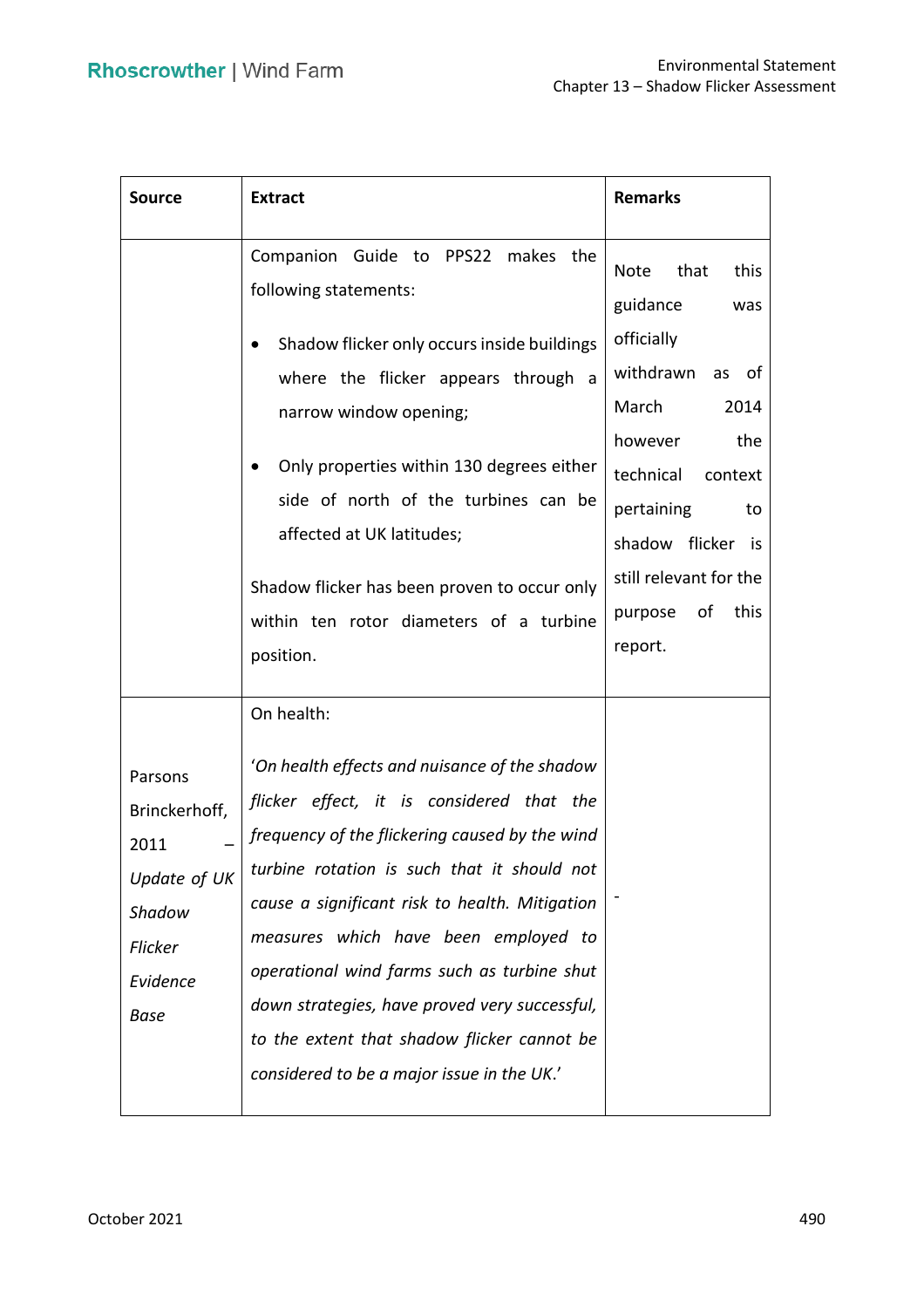| <b>Source</b>                                                                                    | <b>Extract</b>                                                                                                                                                                                                                                                                                                                                                                                                                                                                     | <b>Remarks</b>                                                                                                                                                                                                                                          |
|--------------------------------------------------------------------------------------------------|------------------------------------------------------------------------------------------------------------------------------------------------------------------------------------------------------------------------------------------------------------------------------------------------------------------------------------------------------------------------------------------------------------------------------------------------------------------------------------|---------------------------------------------------------------------------------------------------------------------------------------------------------------------------------------------------------------------------------------------------------|
|                                                                                                  | Companion Guide to PPS22 makes the<br>following statements:<br>Shadow flicker only occurs inside buildings<br>$\bullet$<br>where the flicker appears through a<br>narrow window opening;<br>Only properties within 130 degrees either<br>side of north of the turbines can be<br>affected at UK latitudes;<br>Shadow flicker has been proven to occur only<br>within ten rotor diameters of a turbine<br>position.<br>On health:                                                   | that<br>this<br><b>Note</b><br>guidance<br>was<br>officially<br>withdrawn<br>as<br>of<br>March<br>2014<br>however<br>the<br>technical<br>context<br>pertaining<br>to<br>shadow flicker is<br>still relevant for the<br>this<br>purpose<br>оf<br>report. |
| Parsons<br>Brinckerhoff,<br>2011<br>Update of UK<br>Shadow<br>Flicker<br>Evidence<br><b>Base</b> | 'On health effects and nuisance of the shadow<br>flicker effect, it is considered that the<br>frequency of the flickering caused by the wind<br>turbine rotation is such that it should not<br>cause a significant risk to health. Mitigation<br>measures which have been employed to<br>operational wind farms such as turbine shut<br>down strategies, have proved very successful,<br>to the extent that shadow flicker cannot be<br>considered to be a major issue in the UK.' |                                                                                                                                                                                                                                                         |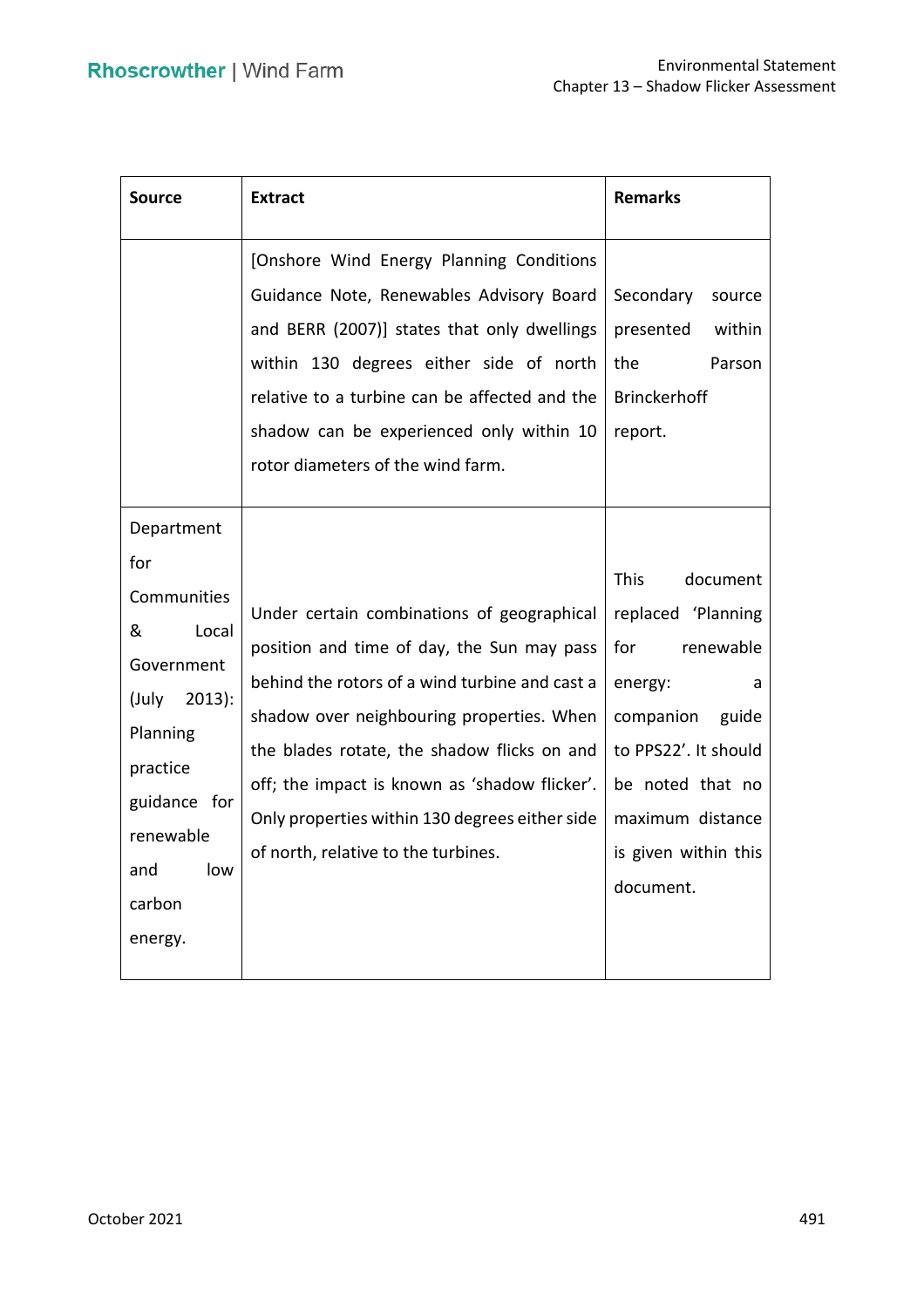| <b>Source</b>                                                                                                                                                             | <b>Extract</b>                                                                                                                                                                                                                                                                                                                                                                   | <b>Remarks</b>                                                                                                                                                                                               |
|---------------------------------------------------------------------------------------------------------------------------------------------------------------------------|----------------------------------------------------------------------------------------------------------------------------------------------------------------------------------------------------------------------------------------------------------------------------------------------------------------------------------------------------------------------------------|--------------------------------------------------------------------------------------------------------------------------------------------------------------------------------------------------------------|
|                                                                                                                                                                           | [Onshore Wind Energy Planning Conditions<br>Guidance Note, Renewables Advisory Board<br>and BERR (2007)] states that only dwellings<br>within 130 degrees either side of north<br>relative to a turbine can be affected and the<br>shadow can be experienced only within 10<br>rotor diameters of the wind farm.                                                                 | Secondary<br>source<br>presented<br>within<br>the<br>Parson<br><b>Brinckerhoff</b><br>report.                                                                                                                |
| Department<br>for<br>Communities<br>&<br>Local<br>Government<br>$2013$ :<br>(July<br>Planning<br>practice<br>guidance for<br>renewable<br>and<br>low<br>carbon<br>energy. | Under certain combinations of geographical<br>position and time of day, the Sun may pass<br>behind the rotors of a wind turbine and cast a<br>shadow over neighbouring properties. When<br>the blades rotate, the shadow flicks on and<br>off; the impact is known as 'shadow flicker'.<br>Only properties within 130 degrees either side<br>of north, relative to the turbines. | <b>This</b><br>document<br>replaced 'Planning<br>for<br>renewable<br>energy:<br>a<br>companion<br>guide<br>to PPS22'. It should<br>be noted that no<br>maximum distance<br>is given within this<br>document. |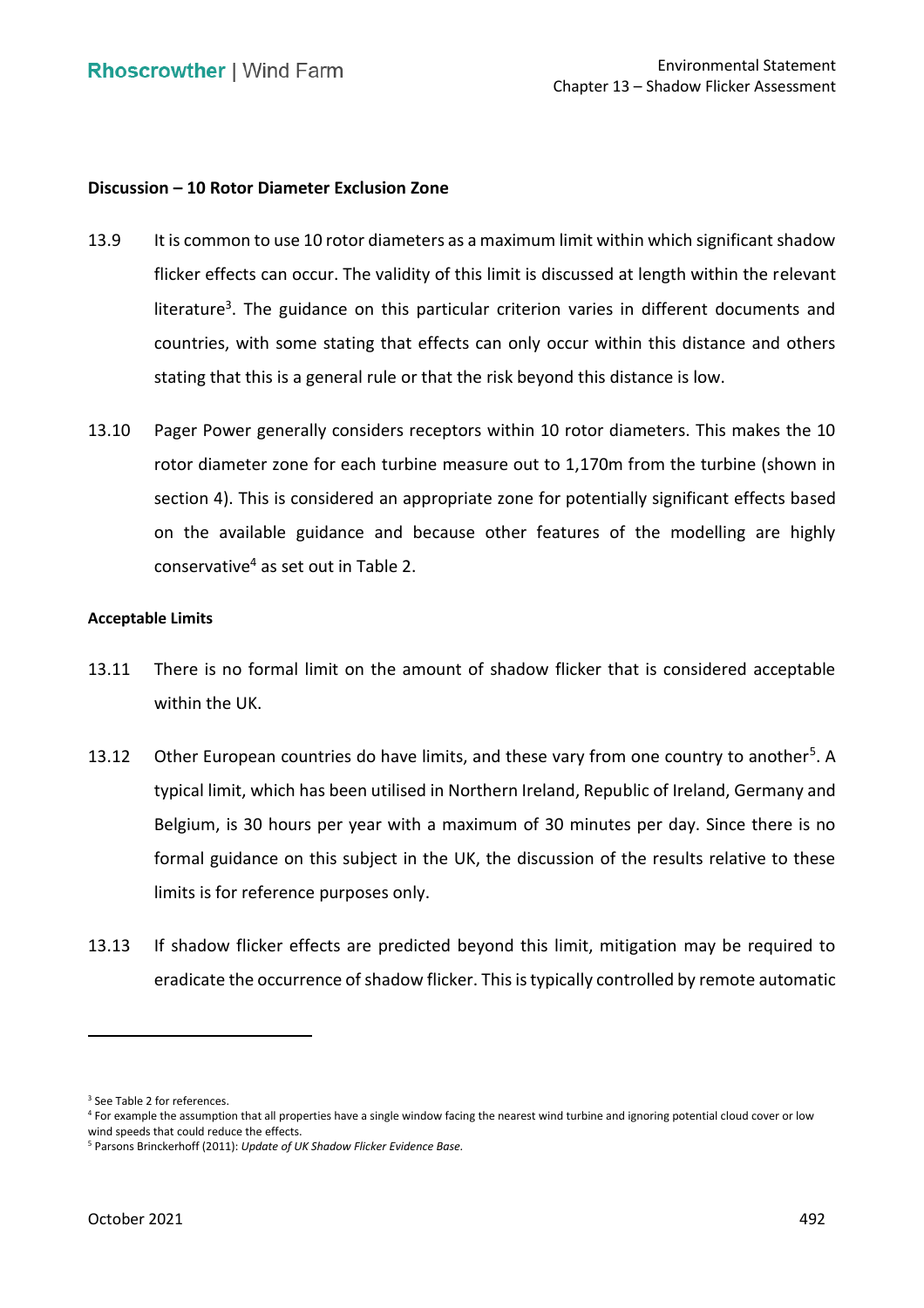# **Discussion – 10 Rotor Diameter Exclusion Zone**

- 13.9 It is common to use 10 rotor diameters as a maximum limit within which significant shadow flicker effects can occur. The validity of this limit is discussed at length within the relevant literature<sup>3</sup>. The guidance on this particular criterion varies in different documents and countries, with some stating that effects can only occur within this distance and others stating that this is a general rule or that the risk beyond this distance is low.
- 13.10 Pager Power generally considers receptors within 10 rotor diameters. This makes the 10 rotor diameter zone for each turbine measure out to 1,170m from the turbine (shown in section 4). This is considered an appropriate zone for potentially significant effects based on the available guidance and because other features of the modelling are highly conservative<sup>4</sup> as set out in Table 2.

#### **Acceptable Limits**

- 13.11 There is no formal limit on the amount of shadow flicker that is considered acceptable within the UK.
- 13.12 Other European countries do have limits, and these vary from one country to another<sup>5</sup>. A typical limit, which has been utilised in Northern Ireland, Republic of Ireland, Germany and Belgium, is 30 hours per year with a maximum of 30 minutes per day. Since there is no formal guidance on this subject in the UK, the discussion of the results relative to these limits is for reference purposes only.
- 13.13 If shadow flicker effects are predicted beyond this limit, mitigation may be required to eradicate the occurrence of shadow flicker. This is typically controlled by remote automatic

<sup>&</sup>lt;sup>3</sup> See Table 2 for references.

 4 For example the assumption that all properties have a single window facing the nearest wind turbine and ignoring potential cloud cover or low wind speeds that could reduce the effects.<br><sup>5</sup> Parsons Brinckerhoff (2011): *Update of UK Shadow Flicker Evidence Base.*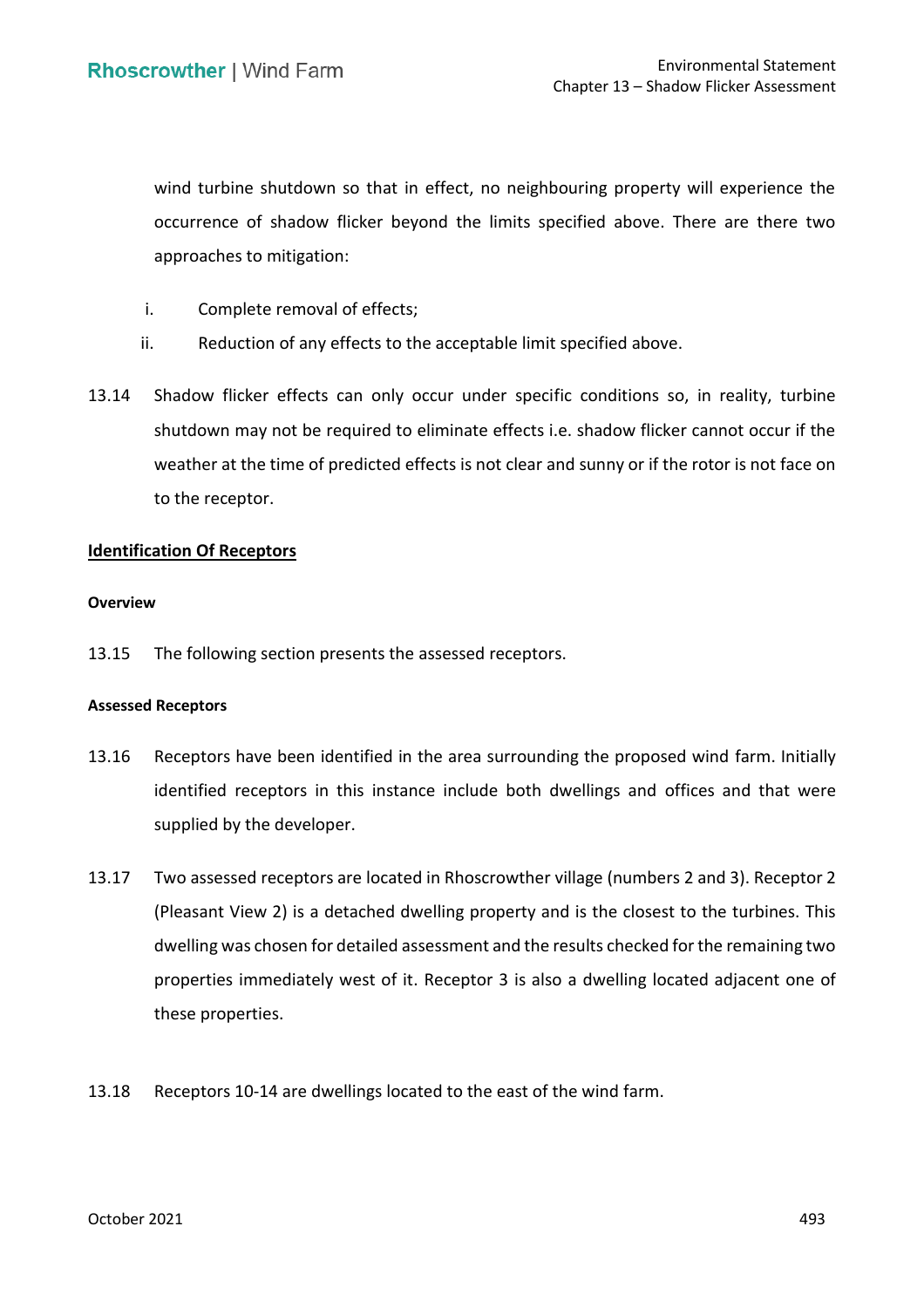wind turbine shutdown so that in effect, no neighbouring property will experience the occurrence of shadow flicker beyond the limits specified above. There are there two approaches to mitigation:

- i. Complete removal of effects;
- ii. Reduction of any effects to the acceptable limit specified above.
- 13.14 Shadow flicker effects can only occur under specific conditions so, in reality, turbine shutdown may not be required to eliminate effects i.e. shadow flicker cannot occur if the weather at the time of predicted effects is not clear and sunny or if the rotor is not face on to the receptor.

# **Identification Of Receptors**

#### **Overview**

13.15 The following section presents the assessed receptors.

#### **Assessed Receptors**

- 13.16 Receptors have been identified in the area surrounding the proposed wind farm. Initially supplied by the developer. identified receptors in this instance include both dwellings and offices and that were
- 13.17 Two assessed receptors are located in Rhoscrowther village (numbers 2 and 3). Receptor 2 dwelling was chosen for detailed assessment and the results checked for the remaining two properties immediately west of it. Receptor 3 is also a dwelling located adjacent one of (Pleasant View 2) is a detached dwelling property and is the closest to the turbines. This these properties.
- 13.18 Receptors 10-14 are dwellings located to the east of the wind farm.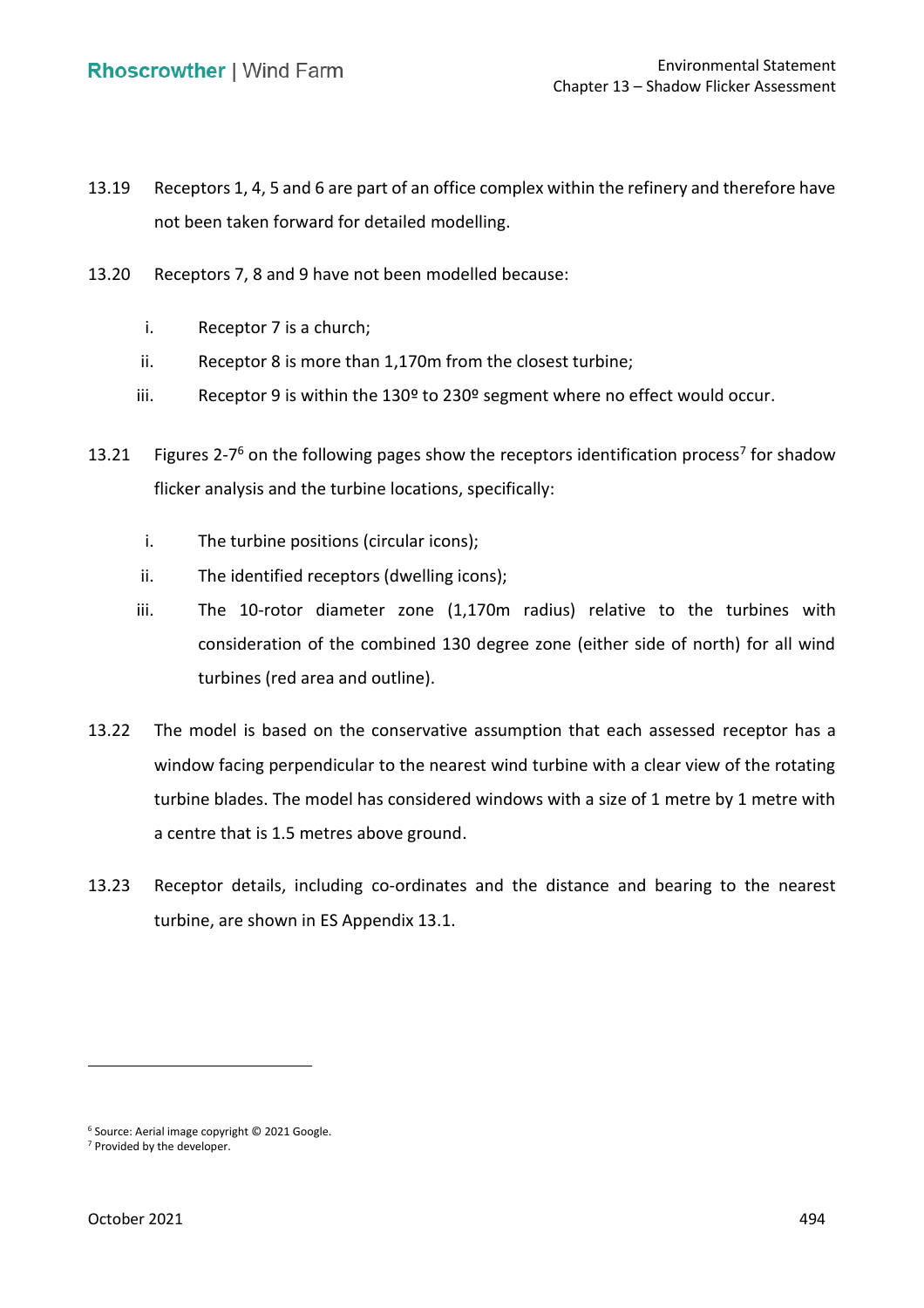- 13.19 Receptors 1, 4, 5 and 6 are part of an office complex within the refinery and therefore have not been taken forward for detailed modelling.
- 13.20 Receptors 7, 8 and 9 have not been modelled because:
	- i. Receptor 7 is a church;
	- ii. Receptor 8 is more than 1,170m from the closest turbine;
	- iii. Receptor 9 is within the 130º to 230º segment where no effect would occur.
- 13.21 Figures 2-7<sup>6</sup> on the following pages show the receptors identification process<sup>7</sup> for shadow flicker analysis and the turbine locations, specifically:
	- i. The turbine positions (circular icons);
	- ii. The identified receptors (dwelling icons);
	- iii. The 10-rotor diameter zone (1,170m radius) relative to the turbines with consideration of the combined 130 degree zone (either side of north) for all wind turbines (red area and outline).
- 13.22 The model is based on the conservative assumption that each assessed receptor has a window facing perpendicular to the nearest wind turbine with a clear view of the rotating turbine blades. The model has considered windows with a size of 1 metre by 1 metre with a centre that is 1.5 metres above ground.
- 13.23 Receptor details, including co-ordinates and the distance and bearing to the nearest turbine, are shown in ES Appendix 13.1.

<sup>&</sup>lt;sup>6</sup> Source: Aerial image copyright  $\odot$  2021 Google.<br><sup>7</sup> Provided by the developer.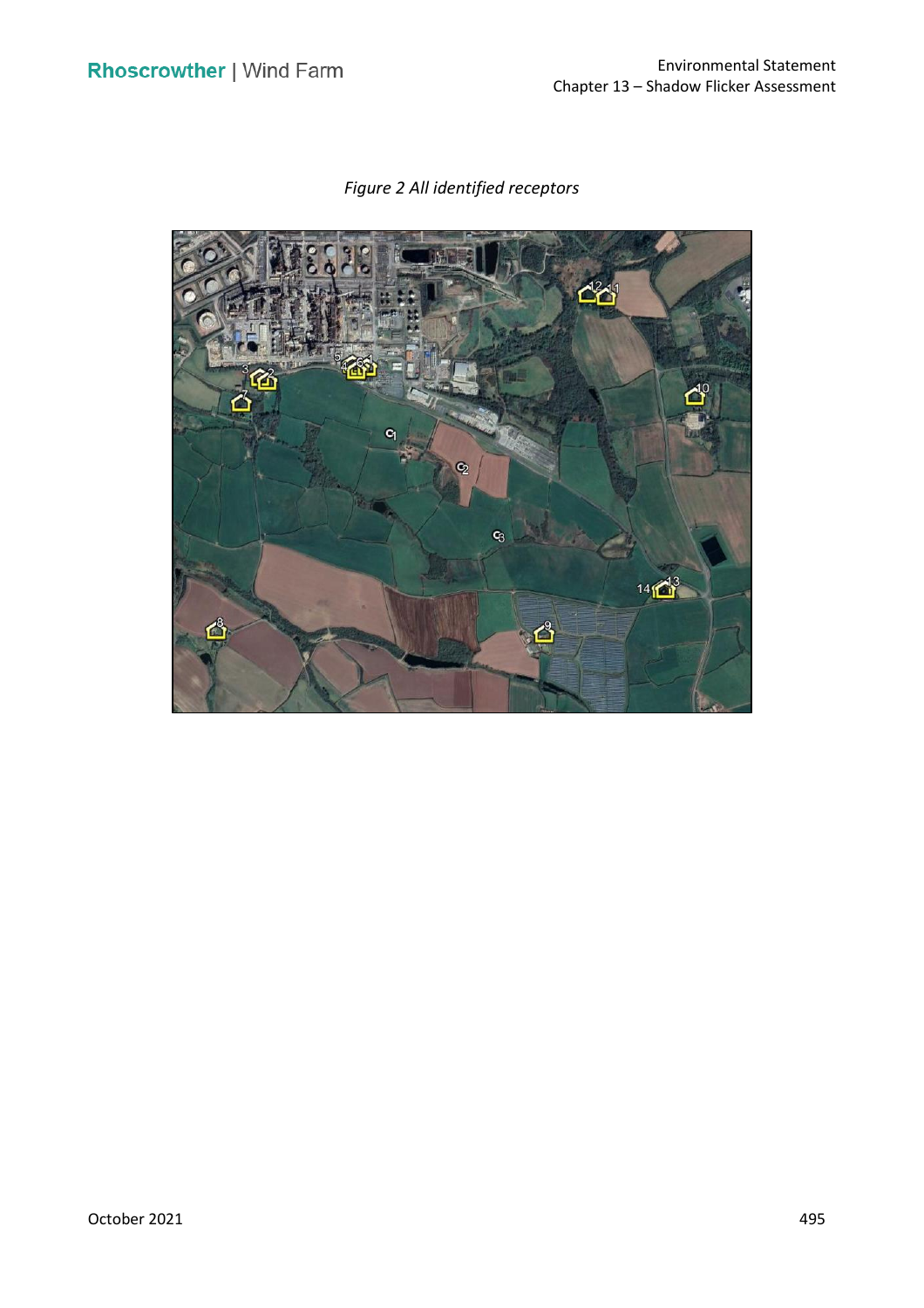

*Figure 2 All identified receptors*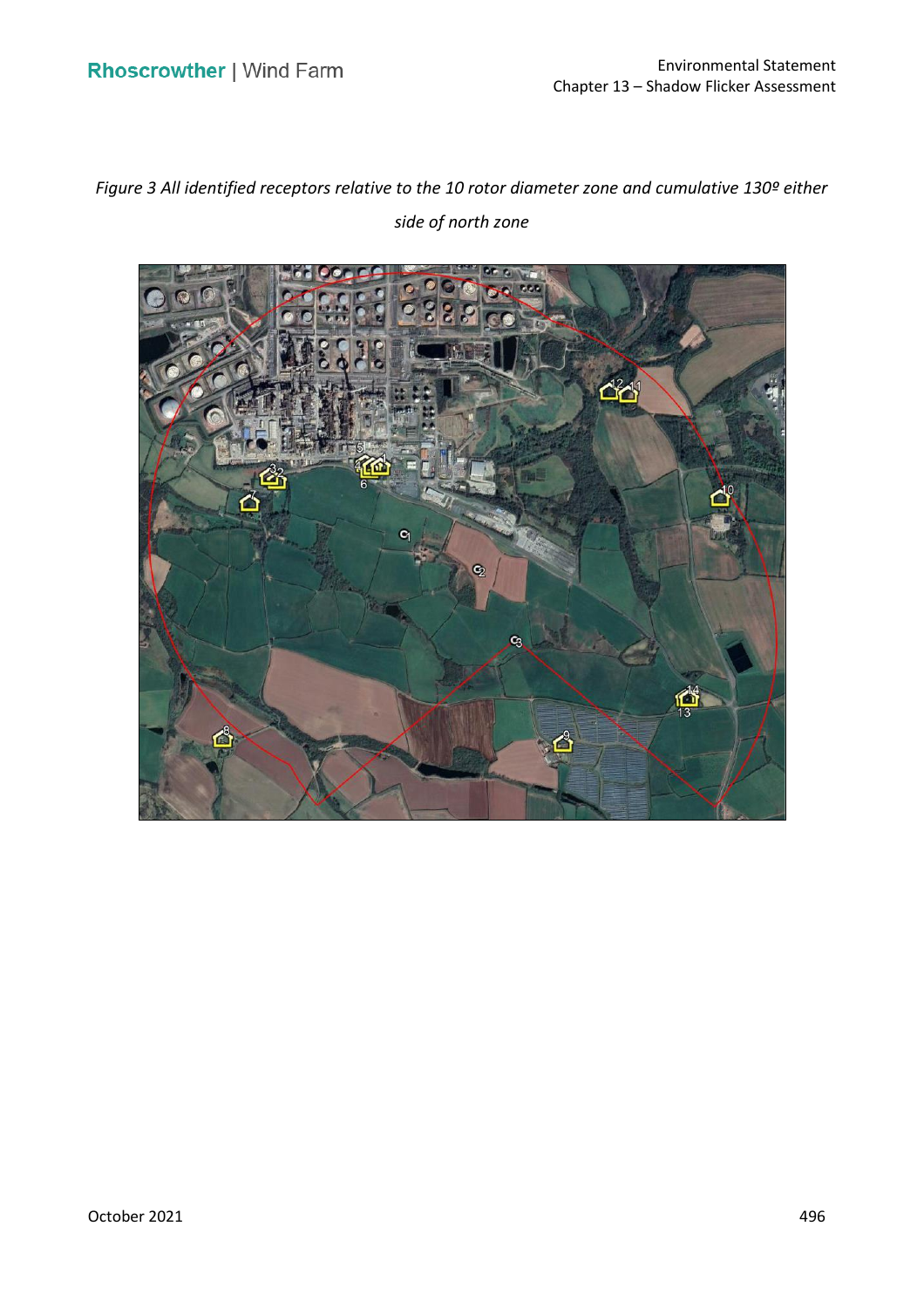*Figure 3 All identified receptors relative to the 10 rotor diameter zone and cumulative 130º either side of north zone* 

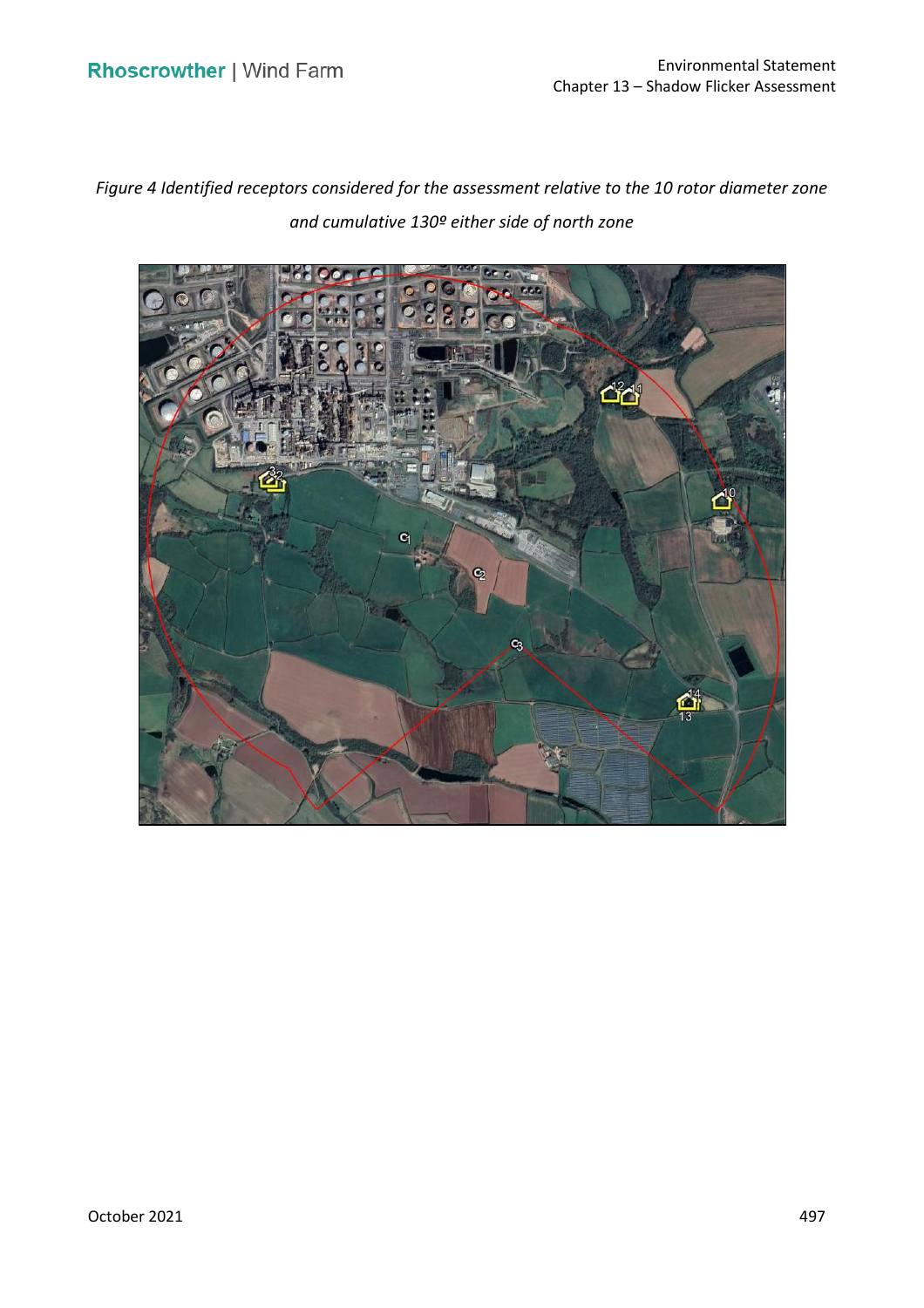*Figure 4 Identified receptors considered for the assessment relative to the 10 rotor diameter zone and cumulative 130º either side of north zone* 

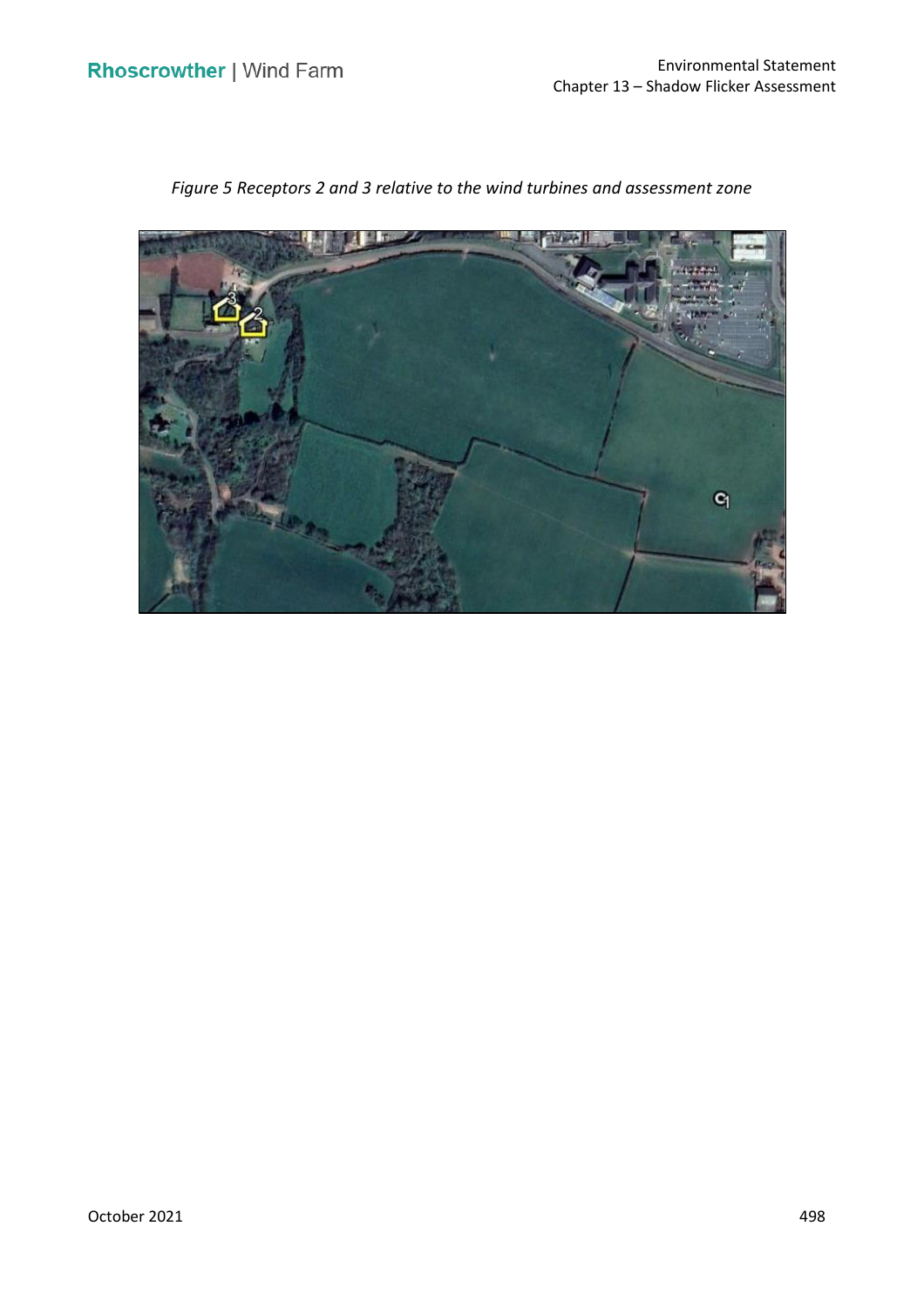

 *Figure 5 Receptors 2 and 3 relative to the wind turbines and assessment zone*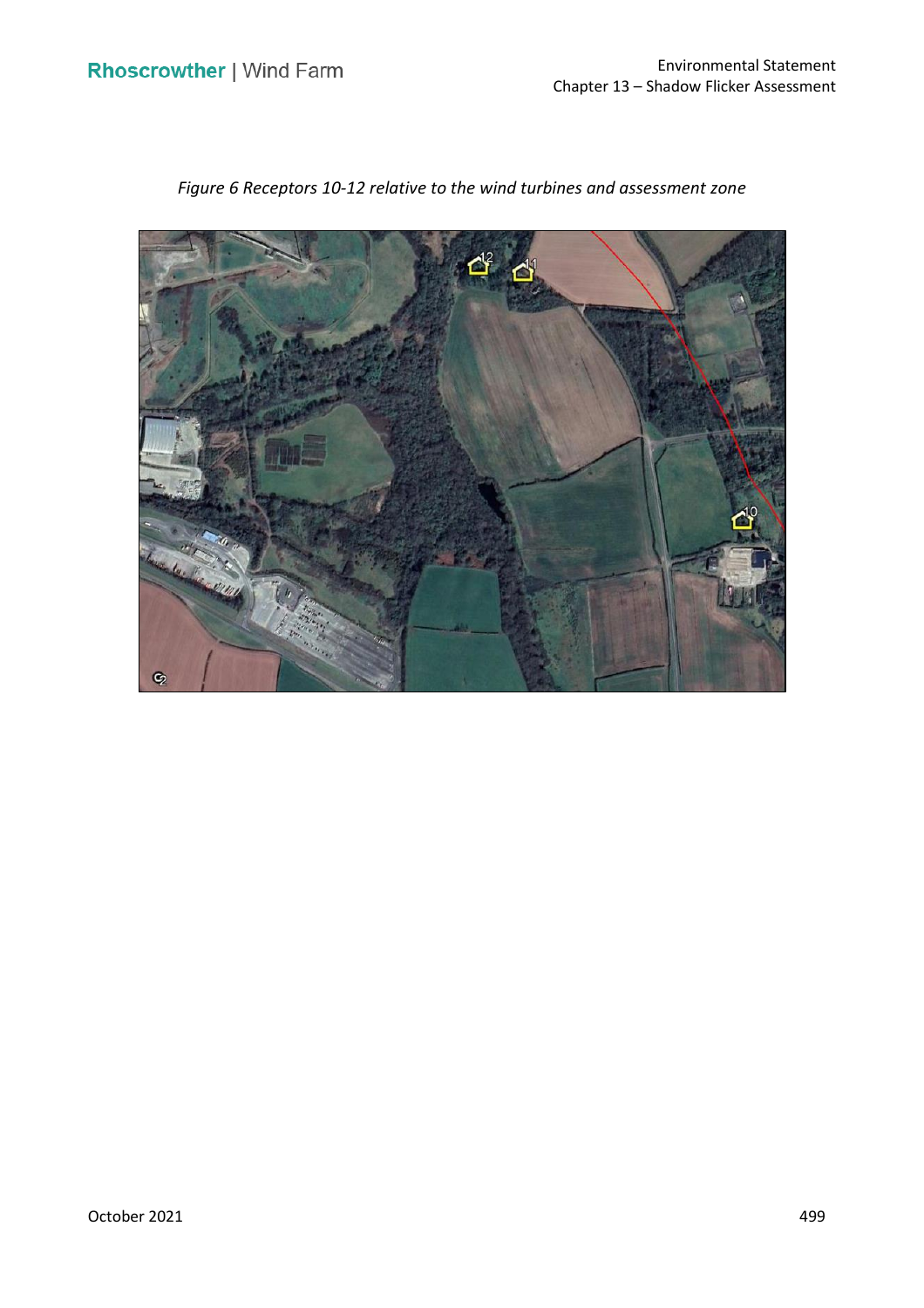

 *Figure 6 Receptors 10-12 relative to the wind turbines and assessment zone*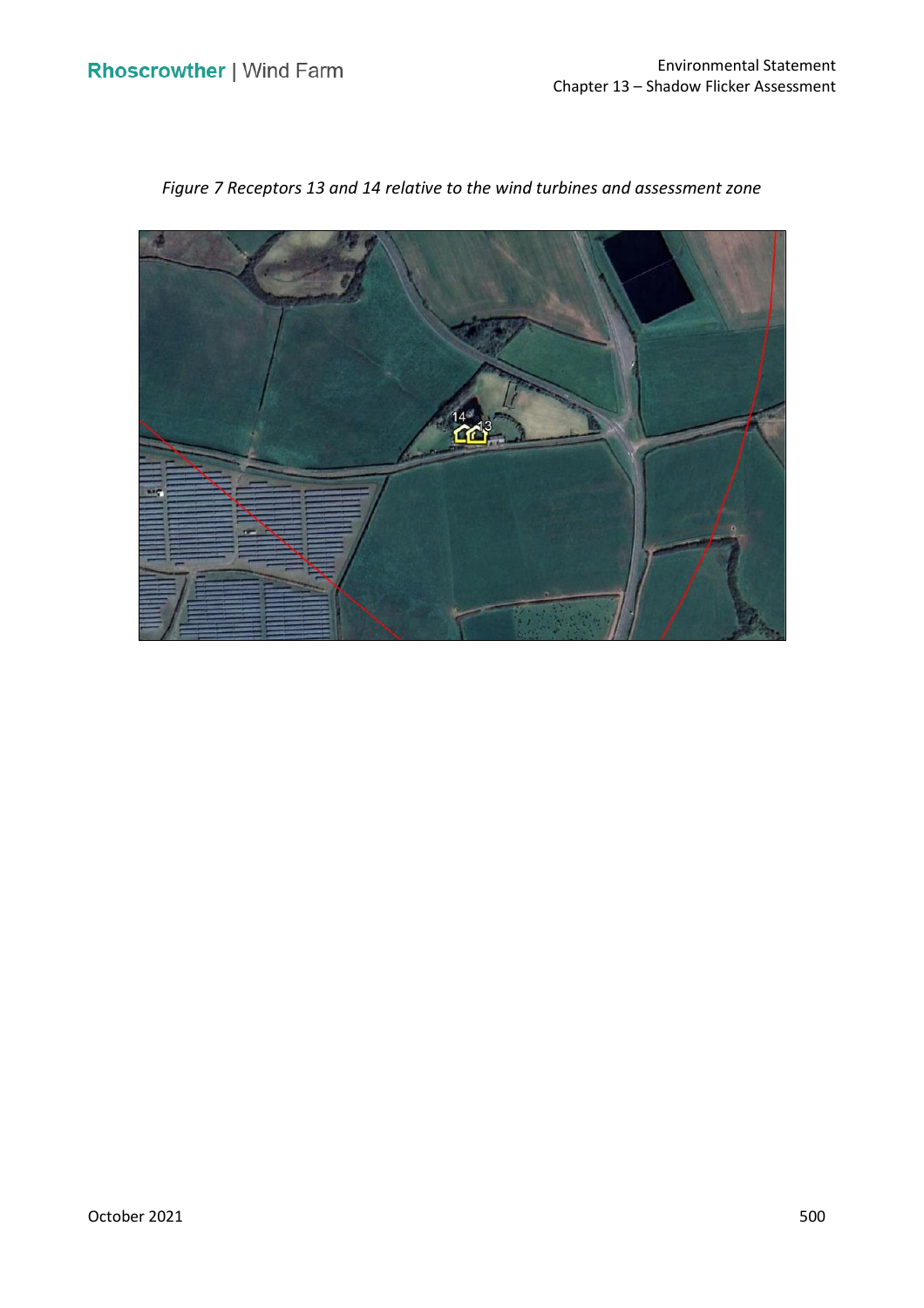

 *Figure 7 Receptors 13 and 14 relative to the wind turbines and assessment zone*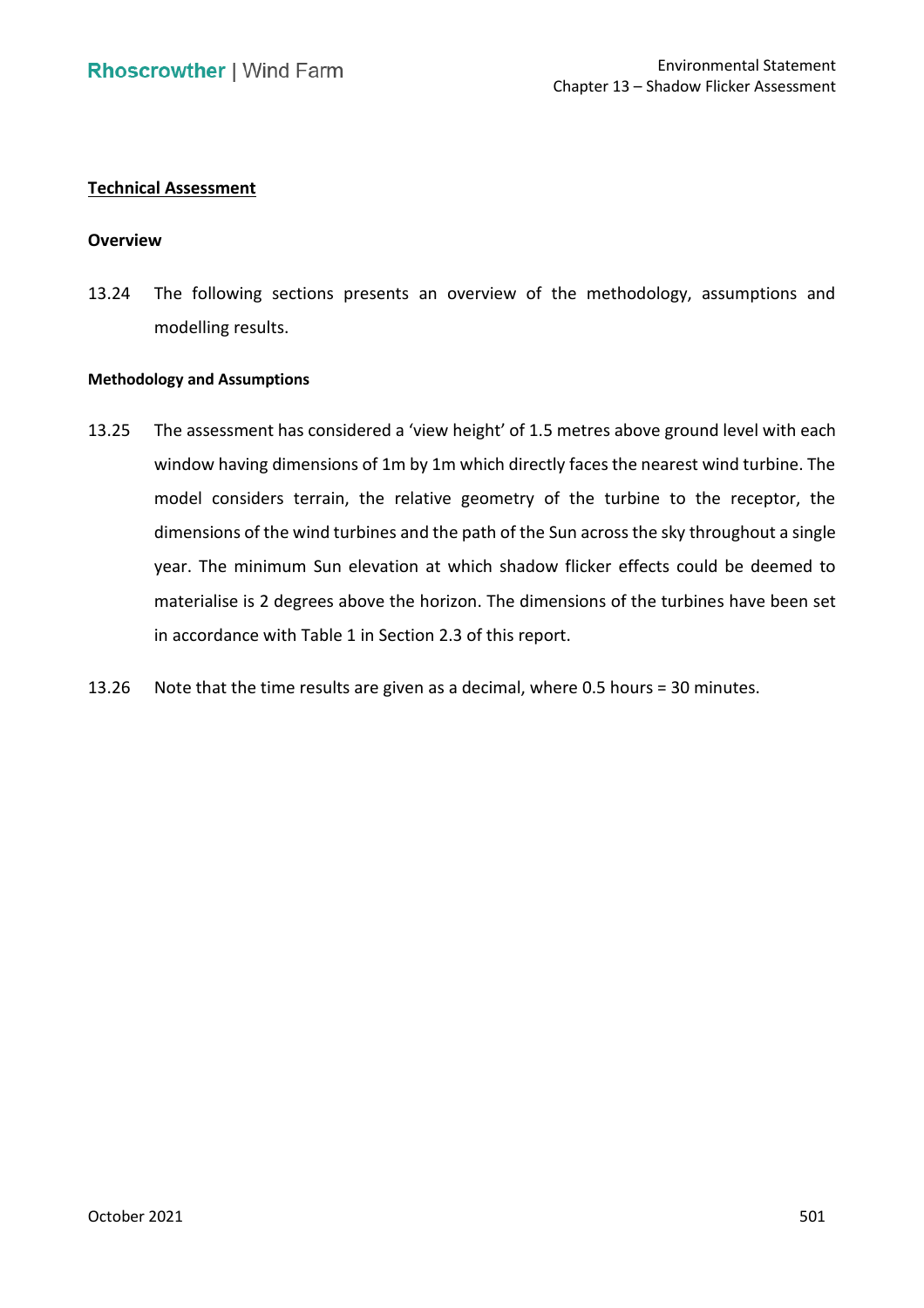# **Technical Assessment**

# **Overview**

 13.24 The following sections presents an overview of the methodology, assumptions and modelling results.

### **Methodology and Assumptions**

- 13.25 The assessment has considered a 'view height' of 1.5 metres above ground level with each window having dimensions of 1m by 1m which directly faces the nearest wind turbine. The model considers terrain, the relative geometry of the turbine to the receptor, the dimensions of the wind turbines and the path of the Sun across the sky throughout a single year. The minimum Sun elevation at which shadow flicker effects could be deemed to materialise is 2 degrees above the horizon. The dimensions of the turbines have been set in accordance with Table 1 in Section 2.3 of this report.
- 13.26 Note that the time results are given as a decimal, where 0.5 hours = 30 minutes.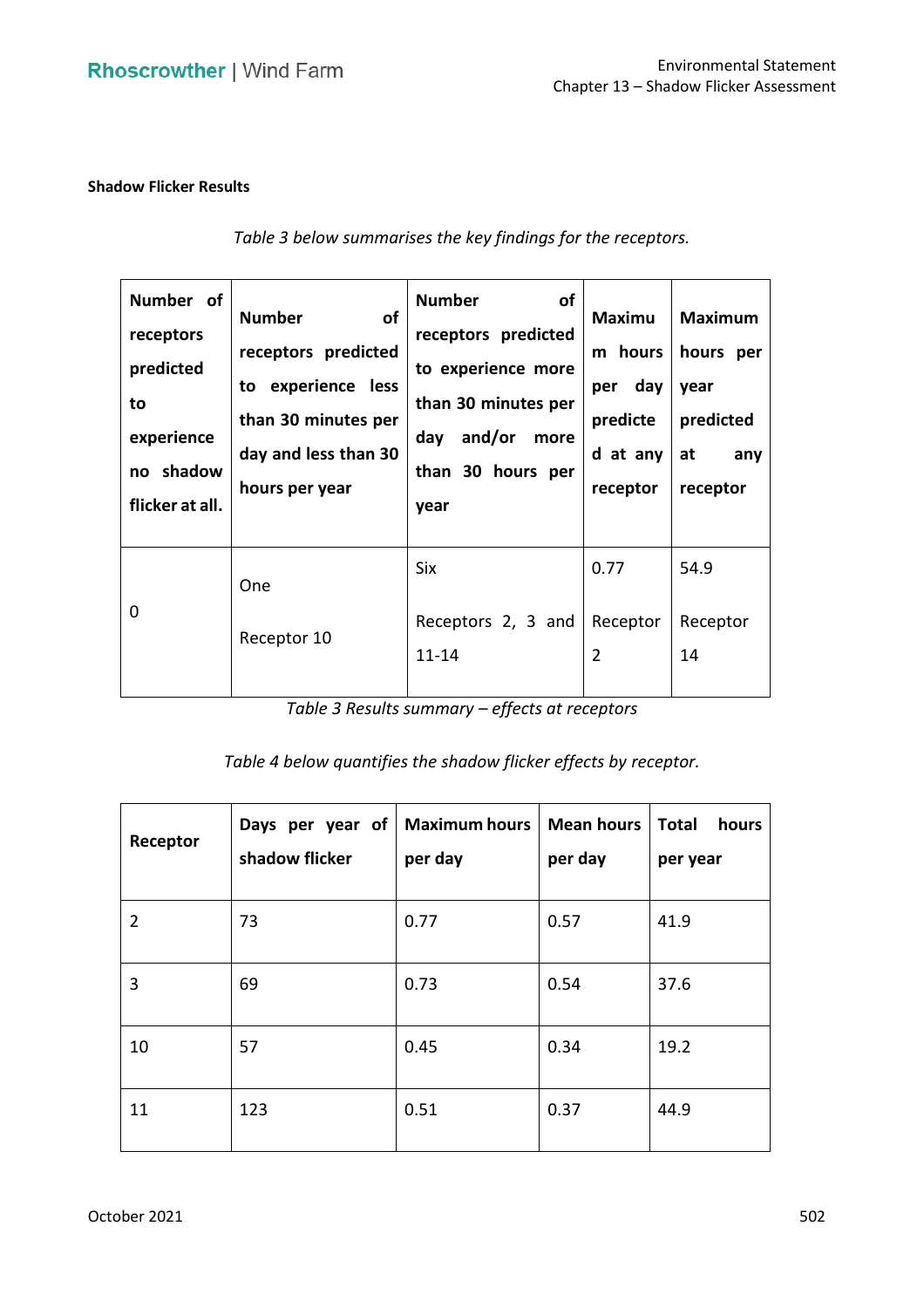# **Shadow Flicker Results**

| Number of<br>receptors<br>predicted<br>to<br>experience<br>no shadow<br>flicker at all. | <b>Number</b><br><b>of</b><br>receptors predicted<br>to experience less<br>than 30 minutes per<br>day and less than 30<br>hours per year | <b>Number</b><br><b>of</b><br>receptors predicted<br>to experience more<br>than 30 minutes per<br>and/or<br>day<br>more<br>than 30 hours per<br>year | <b>Maximu</b><br>m hours<br>per day<br>predicte<br>d at any<br>receptor | <b>Maximum</b><br>hours per<br>year<br>predicted<br>at<br>any<br>receptor |
|-----------------------------------------------------------------------------------------|------------------------------------------------------------------------------------------------------------------------------------------|------------------------------------------------------------------------------------------------------------------------------------------------------|-------------------------------------------------------------------------|---------------------------------------------------------------------------|
| 0                                                                                       | <b>One</b><br>Receptor 10                                                                                                                | <b>Six</b><br>Receptors 2, 3 and<br>$11 - 14$                                                                                                        | 0.77<br>Receptor<br>$\overline{2}$                                      | 54.9<br>Receptor<br>14                                                    |

 *Table 3 Results summary – effects at receptors* 

*Table 4 below quantifies the shadow flicker effects by receptor.* 

| Receptor       | Days per year of<br>shadow flicker | <b>Maximum hours</b><br>per day | <b>Mean hours</b><br>per day | <b>Total</b><br>hours<br>per year |
|----------------|------------------------------------|---------------------------------|------------------------------|-----------------------------------|
| $\overline{2}$ | 73                                 | 0.77                            | 0.57                         | 41.9                              |
| 3              | 69                                 | 0.73                            | 0.54                         | 37.6                              |
| 10             | 57                                 | 0.45                            | 0.34                         | 19.2                              |
| 11             | 123                                | 0.51                            | 0.37                         | 44.9                              |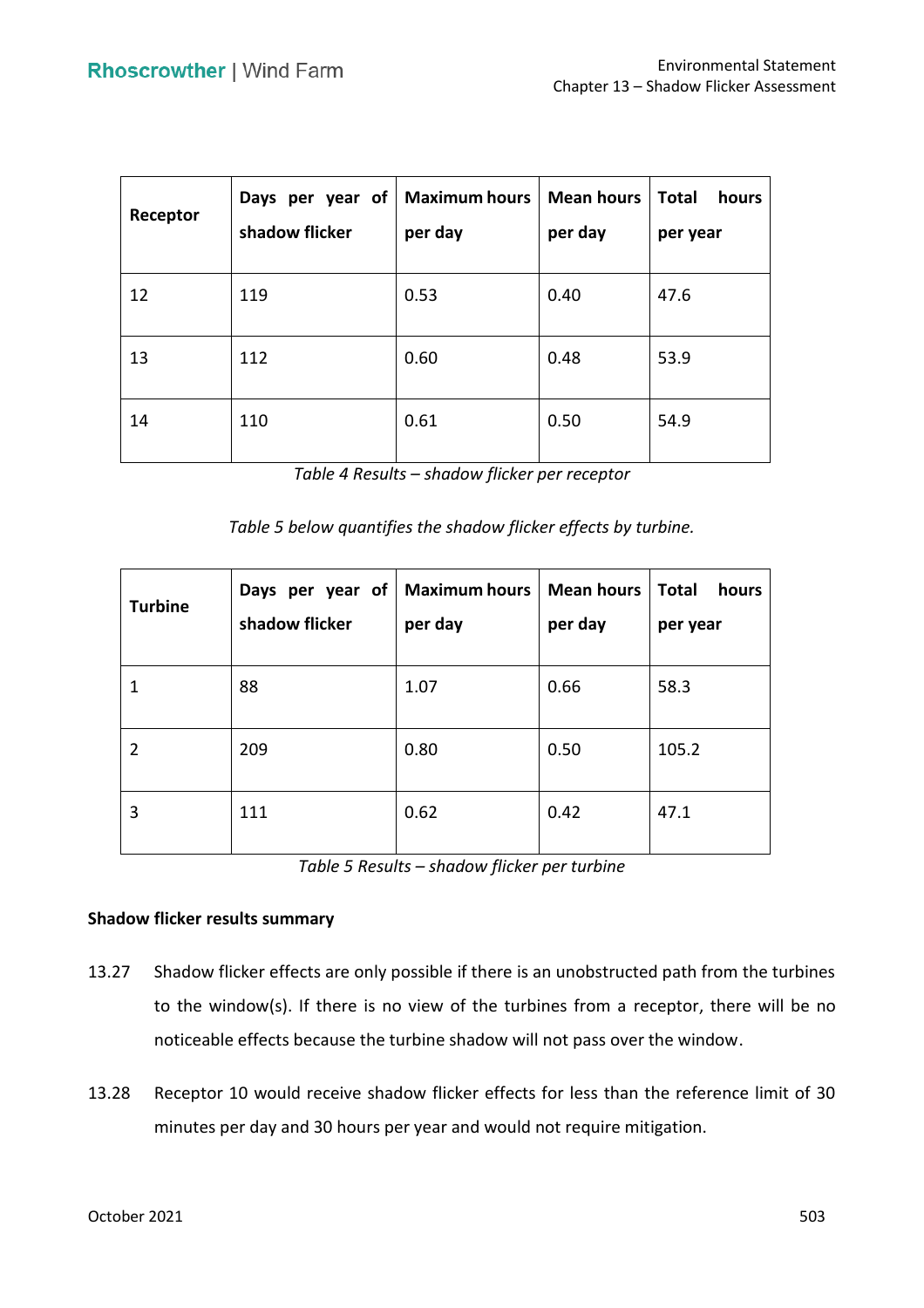| Receptor | per year of<br>Days<br>shadow flicker | <b>Maximum hours</b><br>per day | <b>Mean hours</b><br>per day | <b>Total</b><br>hours<br>per year |
|----------|---------------------------------------|---------------------------------|------------------------------|-----------------------------------|
| 12       | 119                                   | 0.53                            | 0.40                         | 47.6                              |
| 13       | 112                                   | 0.60                            | 0.48                         | 53.9                              |
| 14       | 110                                   | 0.61                            | 0.50                         | 54.9                              |

*Table 4 Results – shadow flicker per receptor* 

*Table 5 below quantifies the shadow flicker effects by turbine.* 

| <b>Turbine</b> | Days per year of<br>shadow flicker | <b>Maximum hours</b><br>per day | <b>Mean hours</b><br>per day | <b>Total</b><br>hours<br>per year |
|----------------|------------------------------------|---------------------------------|------------------------------|-----------------------------------|
|                | 88                                 | 1.07                            | 0.66                         | 58.3                              |
|                | 209                                | 0.80                            | 0.50                         | 105.2                             |
| 3              | 111                                | 0.62                            | 0.42                         | 47.1                              |

| Table 5 Results – shadow flicker per turbine |  |  |  |
|----------------------------------------------|--|--|--|
|----------------------------------------------|--|--|--|

# **Shadow flicker results summary**

- 13.27 Shadow flicker effects are only possible if there is an unobstructed path from the turbines to the window(s). If there is no view of the turbines from a receptor, there will be no noticeable effects because the turbine shadow will not pass over the window.
- 13.28 Receptor 10 would receive shadow flicker effects for less than the reference limit of 30 minutes per day and 30 hours per year and would not require mitigation.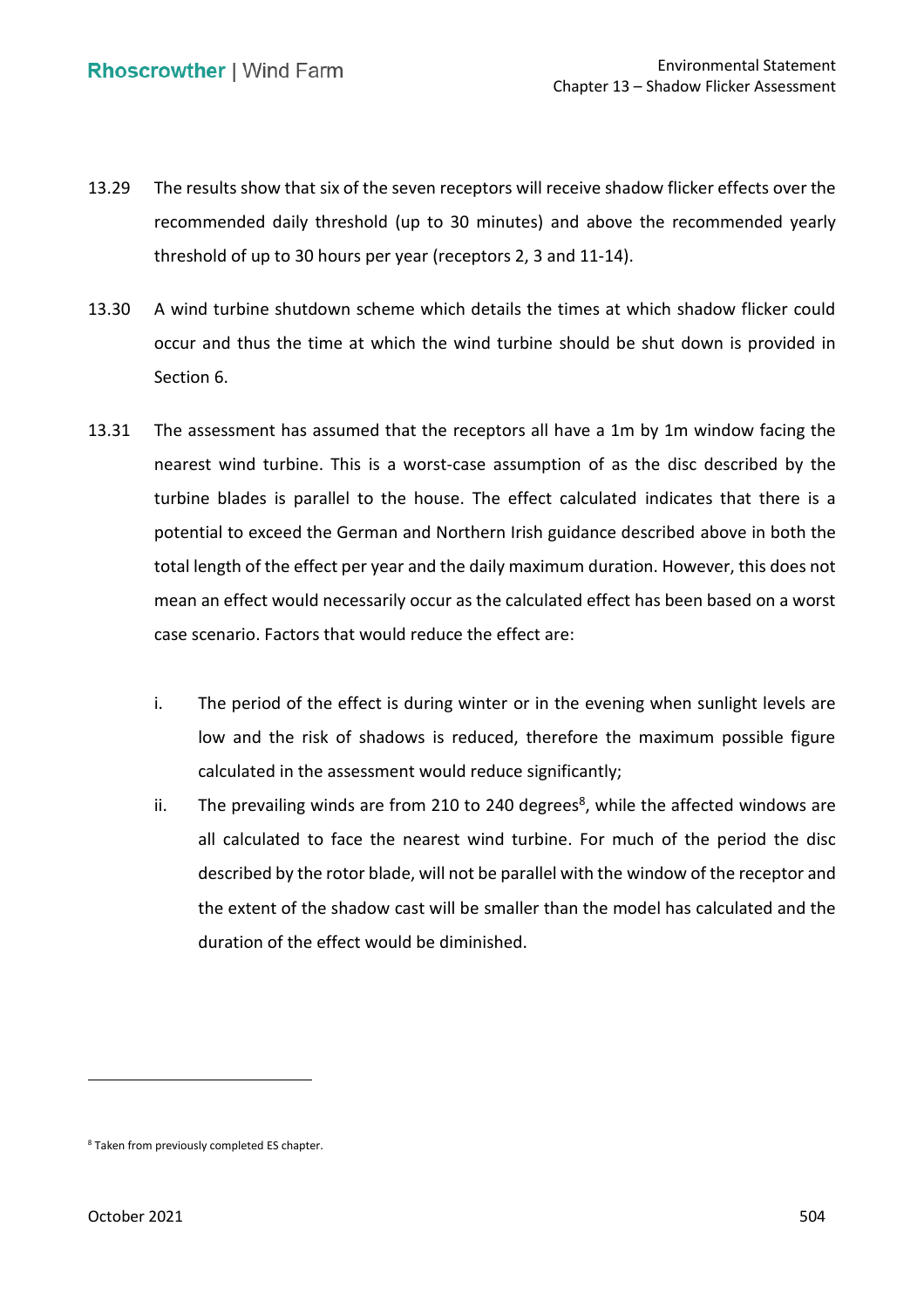- 13.29 The results show that six of the seven receptors will receive shadow flicker effects over the recommended daily threshold (up to 30 minutes) and above the recommended yearly threshold of up to 30 hours per year (receptors 2, 3 and 11-14).
- 13.30 A wind turbine shutdown scheme which details the times at which shadow flicker could occur and thus the time at which the wind turbine should be shut down is provided in Section 6.
- 13.31 The assessment has assumed that the receptors all have a 1m by 1m window facing the nearest wind turbine. This is a worst-case assumption of as the disc described by the turbine blades is parallel to the house. The effect calculated indicates that there is a potential to exceed the German and Northern Irish guidance described above in both the total length of the effect per year and the daily maximum duration. However, this does not mean an effect would necessarily occur as the calculated effect has been based on a worst case scenario. Factors that would reduce the effect are:
	- i. The period of the effect is during winter or in the evening when sunlight levels are low and the risk of shadows is reduced, therefore the maximum possible figure calculated in the assessment would reduce significantly;
	- ii. The prevailing winds are from 210 to 240 degrees<sup>8</sup>, while the affected windows are all calculated to face the nearest wind turbine. For much of the period the disc described by the rotor blade, will not be parallel with the window of the receptor and the extent of the shadow cast will be smaller than the model has calculated and the duration of the effect would be diminished.

<sup>8</sup> Taken from previously completed ES chapter.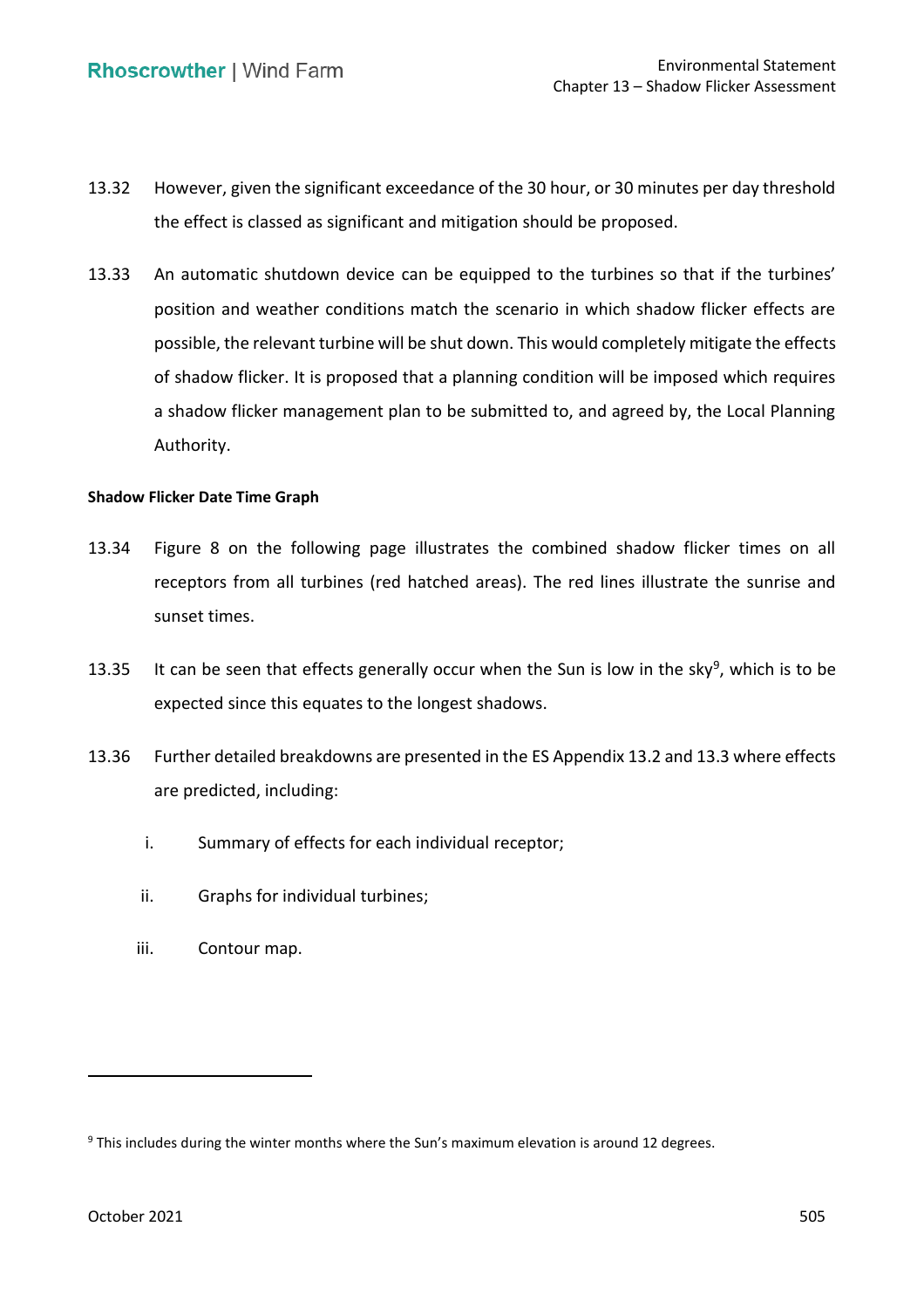- 13.32 However, given the significant exceedance of the 30 hour, or 30 minutes per day threshold the effect is classed as significant and mitigation should be proposed.
- 13.33 An automatic shutdown device can be equipped to the turbines so that if the turbines' position and weather conditions match the scenario in which shadow flicker effects are possible, the relevant turbine will be shut down. This would completely mitigate the effects of shadow flicker. It is proposed that a planning condition will be imposed which requires a shadow flicker management plan to be submitted to, and agreed by, the Local Planning Authority.

#### **Shadow Flicker Date Time Graph**

- 13.34 Figure 8 on the following page illustrates the combined shadow flicker times on all receptors from all turbines (red hatched areas). The red lines illustrate the sunrise and sunset times.
- 13.35 It can be seen that effects generally occur when the Sun is low in the sky<sup>9</sup>, which is to be expected since this equates to the longest shadows.
- 13.36 Further detailed breakdowns are presented in the ES Appendix 13.2 and 13.3 where effects are predicted, including:
	- i. Summary of effects for each individual receptor;
	- ii. Graphs for individual turbines;
	- iii. Contour map.

<sup>&</sup>lt;sup>9</sup> This includes during the winter months where the Sun's maximum elevation is around 12 degrees.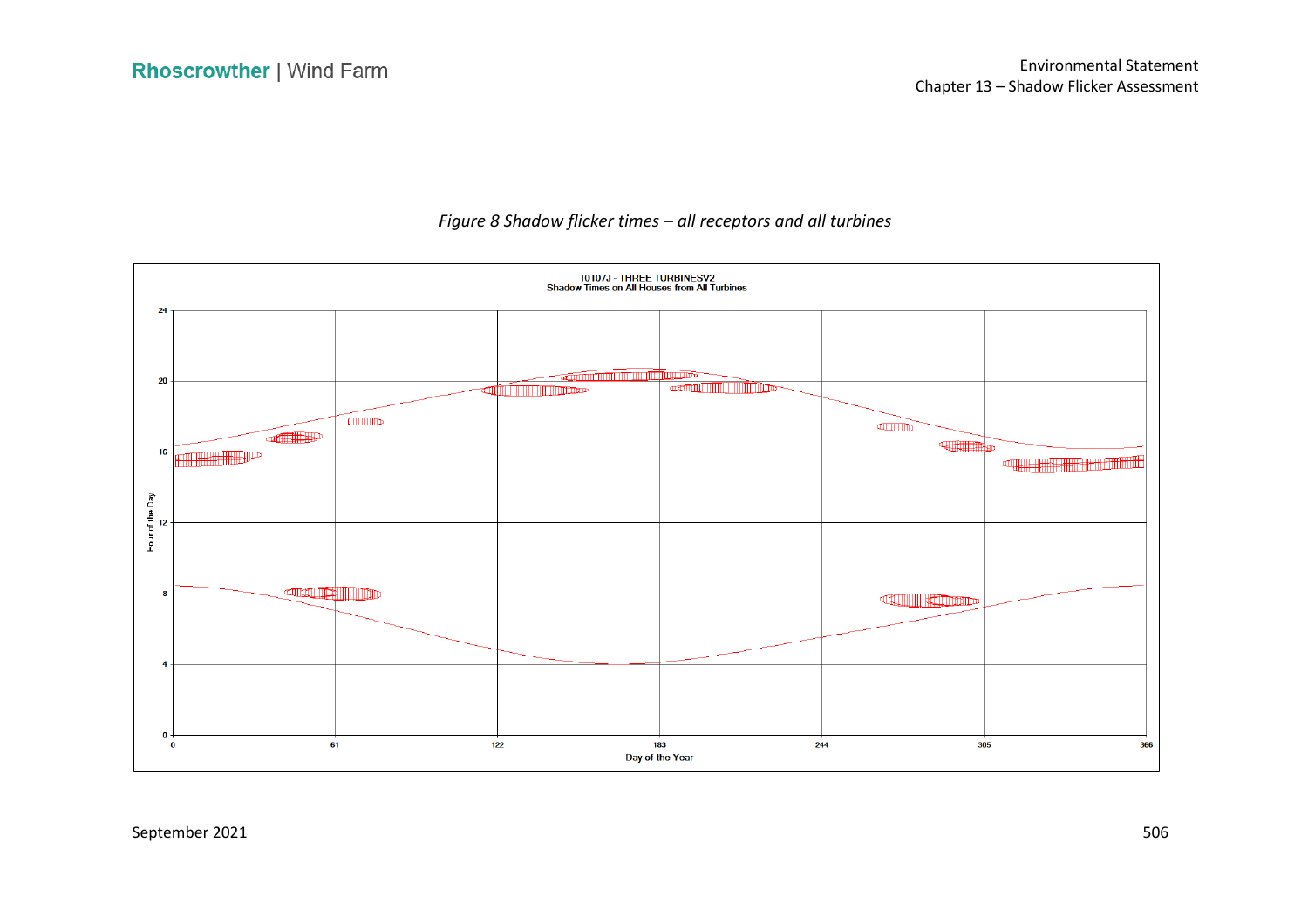

# *Figure 8 Shadow flicker times – all receptors and all turbines*

September 2021 506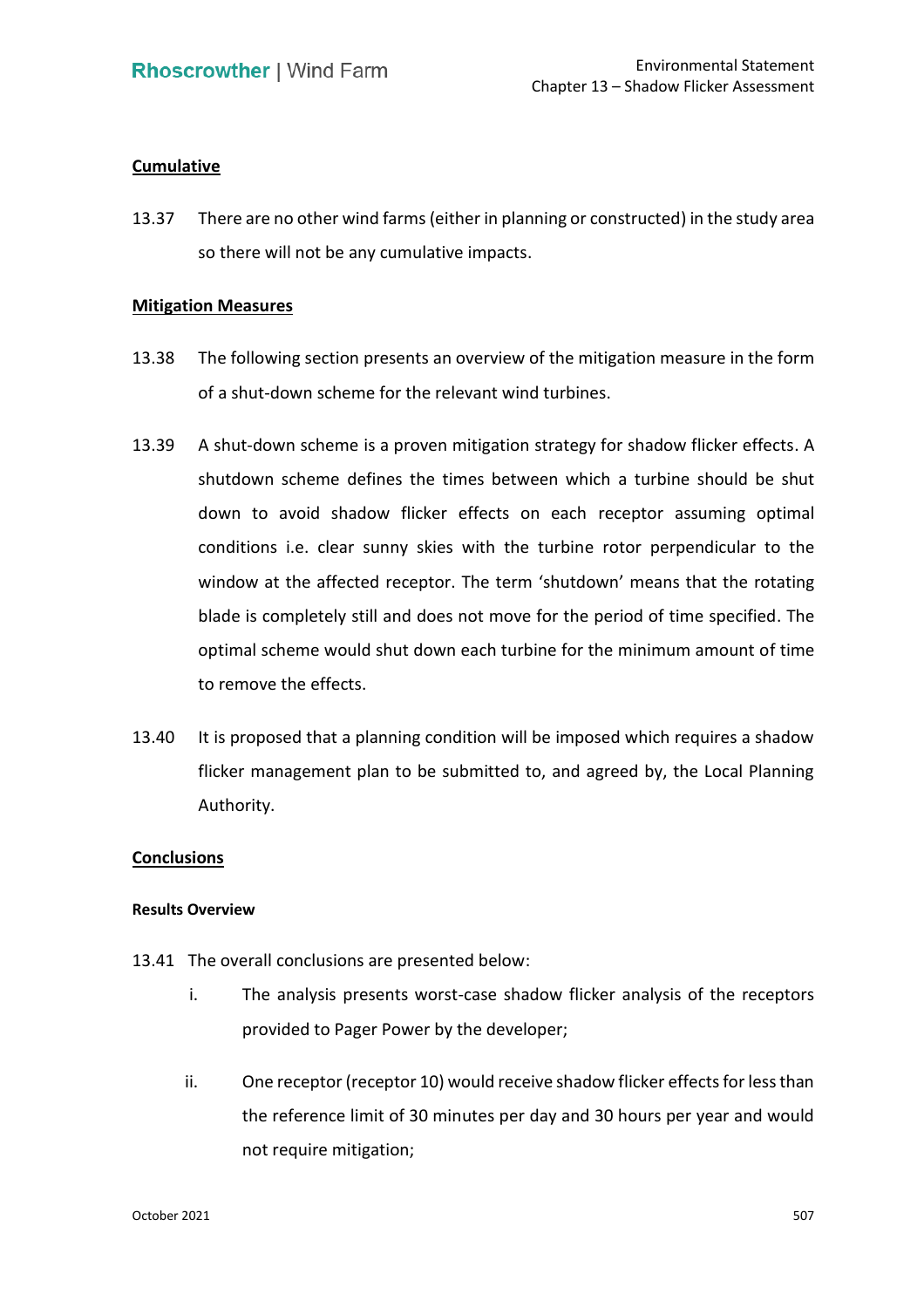# **Cumulative**

 13.37 There are no other wind farms (either in planning or constructed) in the study area so there will not be any cumulative impacts.

### **Mitigation Measures**

- 13.38 The following section presents an overview of the mitigation measure in the form of a shut-down scheme for the relevant wind turbines.
- 13.39 A shut-down scheme is a proven mitigation strategy for shadow flicker effects. A down to avoid shadow flicker effects on each receptor assuming optimal conditions i.e. clear sunny skies with the turbine rotor perpendicular to the window at the affected receptor. The term 'shutdown' means that the rotating blade is completely still and does not move for the period of time specified. The optimal scheme would shut down each turbine for the minimum amount of time shutdown scheme defines the times between which a turbine should be shut to remove the effects.
- 13.40 It is proposed that a planning condition will be imposed which requires a shadow flicker management plan to be submitted to, and agreed by, the Local Planning Authority.

### **Conclusions**

### **Results Overview**

- 13.41 The overall conclusions are presented below:
	- i. The analysis presents worst-case shadow flicker analysis of the receptors provided to Pager Power by the developer;
	- ii. One receptor (receptor 10) would receive shadow flicker effects for less than the reference limit of 30 minutes per day and 30 hours per year and would not require mitigation;